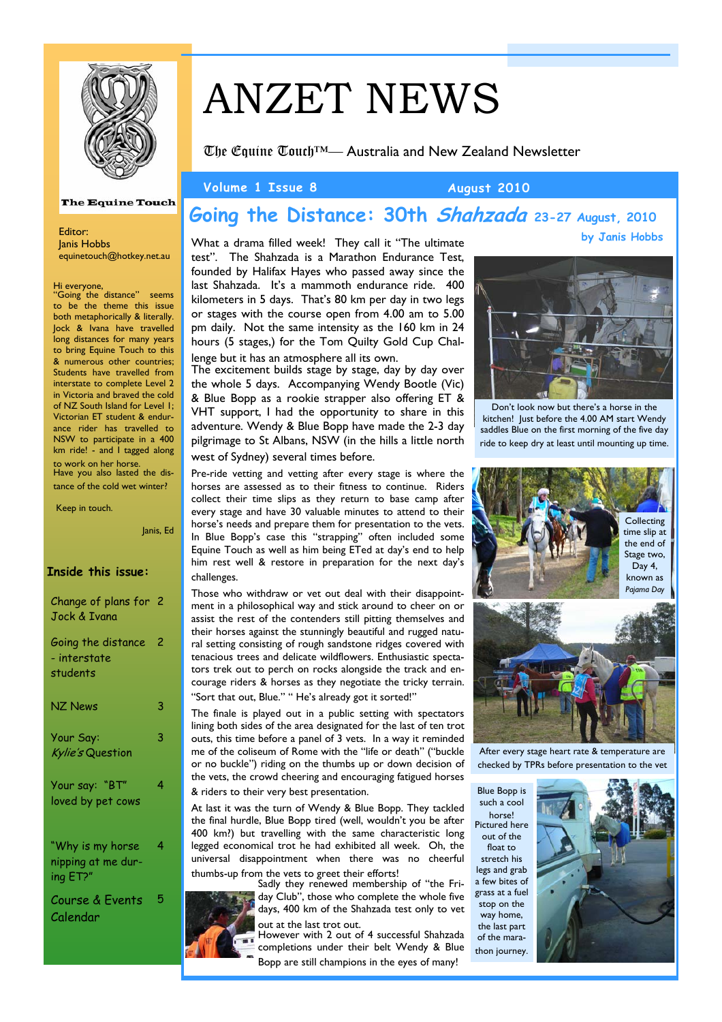

#### The Equine Touch

Editor: Janis Hobbs equinetouch@hotkey.net.au

Hi everyone,

"Going the distance" seems to be the theme this issue both metaphorically & literally. Jock & Ivana have travelled long distances for many years to bring Equine Touch to this & numerous other countries; Students have travelled from interstate to complete Level 2 in Victoria and braved the cold of NZ South Island for Level 1; Victorian ET student & endurance rider has travelled to NSW to participate in a 400 km ride! - and I tagged along to work on her horse. Have you also lasted the distance of the cold wet winter?

Keep in touch.

## **Inside this issue:**  Change of plans for 2 Jock & Ivana

Janis, Ed

| Going the distance<br>- interstate<br>students | -2 |
|------------------------------------------------|----|
| <b>NZ News</b>                                 | 3  |
| Your Say:<br>Kylie's Question                  | 3  |
| Your say: "BT"<br>loved by pet cows            | 4  |
| "Why is my horse                               | 4  |

nipping at me during ET?"

Course & Events Calendar 5

# ANZET NEWS

The Equine Touch™— Australia and New Zealand Newsletter

#### **Volume 1 Issue 8 August 2010**

## **Going the Distance: 30th Shahzada 23-27 August, 2010 by Janis Hobbs**

What a drama filled week! They call it "The ultimate test". The Shahzada is a Marathon Endurance Test, founded by Halifax Hayes who passed away since the last Shahzada. It's a mammoth endurance ride. 400 kilometers in 5 days. That's 80 km per day in two legs or stages with the course open from 4.00 am to 5.00 pm daily. Not the same intensity as the 160 km in 24 hours (5 stages,) for the Tom Quilty Gold Cup Challenge but it has an atmosphere all its own.

The excitement builds stage by stage, day by day over the whole 5 days. Accompanying Wendy Bootle (Vic) & Blue Bopp as a rookie strapper also offering ET & VHT support, I had the opportunity to share in this adventure. Wendy & Blue Bopp have made the 2-3 day pilgrimage to St Albans, NSW (in the hills a little north

west of Sydney) several times before.

Pre-ride vetting and vetting after every stage is where the horses are assessed as to their fitness to continue. Riders collect their time slips as they return to base camp after every stage and have 30 valuable minutes to attend to their horse's needs and prepare them for presentation to the vets. In Blue Bopp's case this "strapping" often included some Equine Touch as well as him being ETed at day's end to help him rest well & restore in preparation for the next day's challenges.

Those who withdraw or vet out deal with their disappointment in a philosophical way and stick around to cheer on or assist the rest of the contenders still pitting themselves and their horses against the stunningly beautiful and rugged natural setting consisting of rough sandstone ridges covered with tenacious trees and delicate wildflowers. Enthusiastic spectators trek out to perch on rocks alongside the track and encourage riders & horses as they negotiate the tricky terrain. "Sort that out, Blue." " He's already got it sorted!"

The finale is played out in a public setting with spectators lining both sides of the area designated for the last of ten trot outs, this time before a panel of 3 vets. In a way it reminded me of the coliseum of Rome with the "life or death" ("buckle or no buckle") riding on the thumbs up or down decision of the vets, the crowd cheering and encouraging fatigued horses & riders to their very best presentation.

At last it was the turn of Wendy & Blue Bopp. They tackled the final hurdle, Blue Bopp tired (well, wouldn't you be after 400 km?) but travelling with the same characteristic long legged economical trot he had exhibited all week. Oh, the universal disappointment when there was no cheerful thumbs-up from the vets to greet their efforts!

Sadly they renewed membership of "the Friday Club", those who complete the whole five days, 400 km of the Shahzada test only to vet out at the last trot out.

However with 2 out of 4 successful Shahzada completions under their belt Wendy & Blue Bopp are still champions in the eyes of many!

Don't look now but there's a horse in the kitchen! Just before the 4.00 AM start Wendy saddles Blue on the first morning of the five day ride to keep dry at least until mounting up time.



After every stage heart rate & temperature are checked by TPRs before presentation to the vet

Blue Bopp is such a cool horse! Pictured here out of the float to stretch his legs and grab a few bites of grass at a fuel stop on the way home, the last part of the mara-

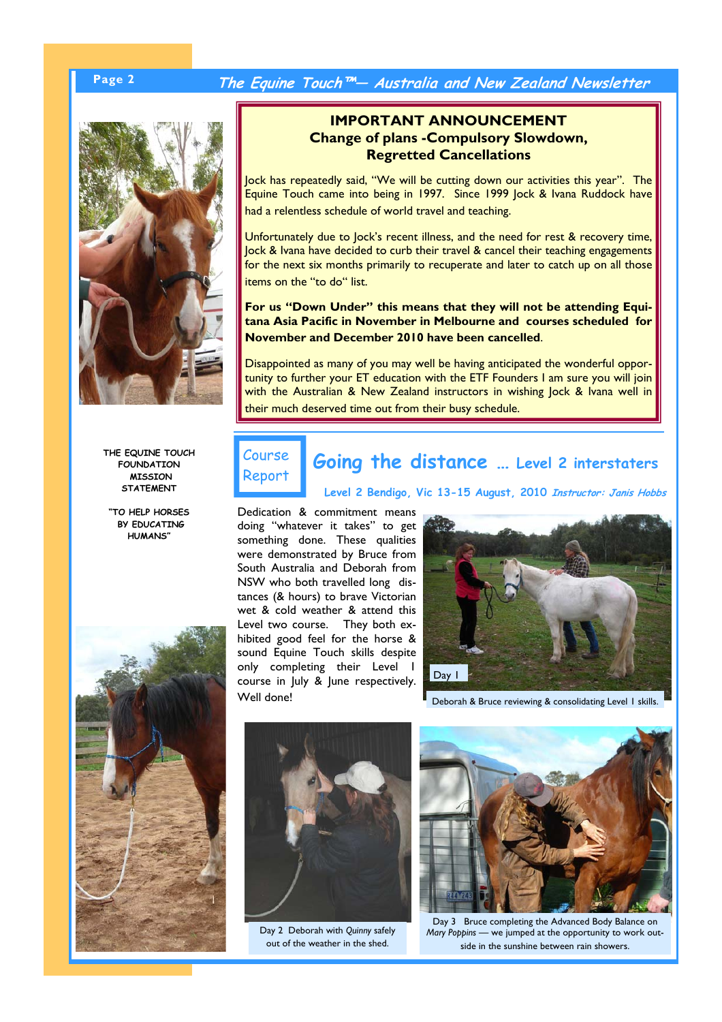## **Page 2 The Equine Touch™— Australia and New Zealand Newsletter**



**IMPORTANT ANNOUNCEMENT Change of plans -Compulsory Slowdown, Regretted Cancellations** 

Jock has repeatedly said, "We will be cutting down our activities this year". The Equine Touch came into being in 1997. Since 1999 Jock & Ivana Ruddock have had a relentless schedule of world travel and teaching.

Unfortunately due to Jock's recent illness, and the need for rest & recovery time, Jock & Ivana have decided to curb their travel & cancel their teaching engagements for the next six months primarily to recuperate and later to catch up on all those items on the "to do" list.

**For us "Down Under" this means that they will not be attending Equitana Asia Pacific in November in Melbourne and courses scheduled for November and December 2010 have been cancelled**.

Disappointed as many of you may well be having anticipated the wonderful opportunity to further your ET education with the ETF Founders I am sure you will join with the Australian & New Zealand instructors in wishing Jock & Ivana well in their much deserved time out from their busy schedule.

**THE EQUINE TOUCH FOUNDATION MISSION STATEMENT** 

**"TO HELP HORSES BY EDUCATING HUMANS"** 



Course Report

# **Going the distance … Level 2 interstaters**

**Level 2 Bendigo, Vic 13-15 August, 2010 Instructor: Janis Hobbs**

Dedication & commitment means doing "whatever it takes" to get something done. These qualities were demonstrated by Bruce from South Australia and Deborah from NSW who both travelled long distances (& hours) to brave Victorian wet & cold weather & attend this Level two course. They both exhibited good feel for the horse & sound Equine Touch skills despite only completing their Level 1 course in July & June respectively. Well done!



Deborah & Bruce reviewing & consolidating Level 1 skills.



Day 2 Deborah with *Quinny* safely out of the weather in the shed.



Day 3 Bruce completing the Advanced Body Balance on *Mary Poppins* — we jumped at the opportunity to work outside in the sunshine between rain showers.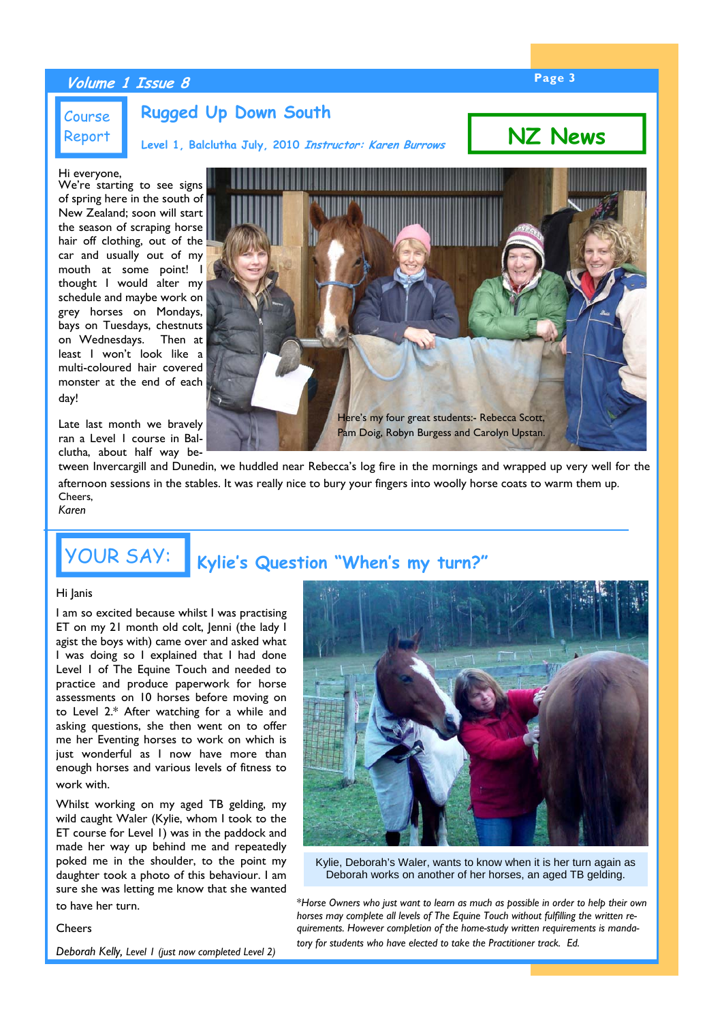## **Page 3 Volume 1 Issue 8**

### Course Report

**Rugged Up Down South**

**Level 1, Balclutha July, 2010 Instructor: Karen Burrows**

**NZ News**

#### Hi everyone,

We're starting to see signs of spring here in the south of New Zealand; soon will start the season of scraping horse hair off clothing, out of the car and usually out of my mouth at some point! I thought I would alter my schedule and maybe work on grey horses on Mondays, bays on Tuesdays, chestnuts on Wednesdays. Then at least I won't look like a multi-coloured hair covered monster at the end of each day!

Late last month we bravely ran a Level 1 course in Balclutha, about half way be-



tween Invercargill and Dunedin, we huddled near Rebecca's log fire in the mornings and wrapped up very well for the afternoon sessions in the stables. It was really nice to bury your fingers into woolly horse coats to warm them up. Cheers, *Karen* 

# YOUR SAY: **Kylie's Question "When's my turn?"**

#### Hi Janis

I am so excited because whilst I was practising ET on my 21 month old colt, Jenni (the lady I agist the boys with) came over and asked what I was doing so I explained that I had done Level 1 of The Equine Touch and needed to practice and produce paperwork for horse assessments on 10 horses before moving on to Level 2.\* After watching for a while and asking questions, she then went on to offer me her Eventing horses to work on which is just wonderful as I now have more than enough horses and various levels of fitness to work with.

Whilst working on my aged TB gelding, my wild caught Waler (Kylie, whom I took to the ET course for Level 1) was in the paddock and made her way up behind me and repeatedly poked me in the shoulder, to the point my daughter took a photo of this behaviour. I am sure she was letting me know that she wanted to have her turn.

#### **Cheers**

*Deborah Kelly, Level 1 (just now completed Level 2)* 



Kylie, Deborah's Waler, wants to know when it is her turn again as Deborah works on another of her horses, an aged TB gelding.

\**Horse Owners who just want to learn as much as possible in order to help their own horses may complete all levels of The Equine Touch without fulfilling the written requirements. However completion of the home-study written requirements is mandatory for students who have elected to take the Practitioner track. Ed.*